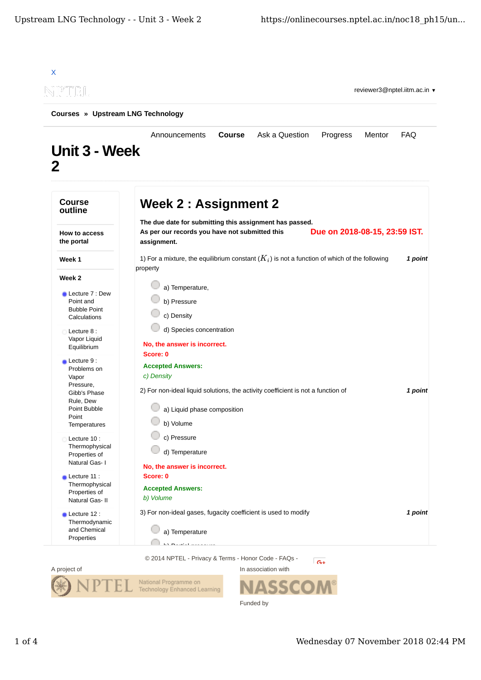

Funded by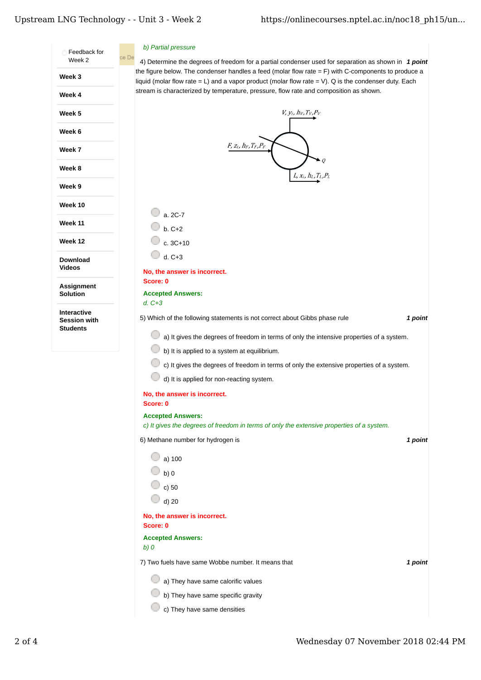## Upstream LNG Technology - - Unit 3 - Week 2

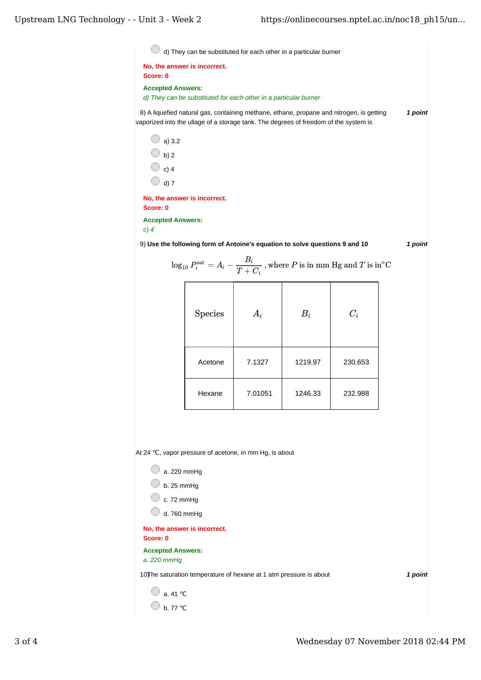8) *1 point* A liquefied natural gas, containing methane, ethane, propane and nitrogen, is getting d) They can be substituted for each other in a particular burner **No, the answer is incorrect. Score: 0 Accepted Answers:** *d) They can be substituted for each other in a particular burner* vaporized into the ullage of a storage tank. The degrees of freedom of the system is

 $\Box$  a) 3.2  $\bigcirc$  b) 2  $\bigcirc$  c) 4  $\Box$  d) 7

**No, the answer is incorrect. Score: 0**

**Accepted Answers:**

*c) 4*

9) *1 point* **Use the following form of Antoine's equation to solve questions 9 and 10**

 Acetone 7.1327 1219.97 230.653 Hexane 7.01051 1246.33 232.988 log10 *P* = − , where *P* is in mm Hg and *T* is in sat *<sup>i</sup> Ai Bi T* + *Ci* C o Species *Ai Bi Ci*

At 24 ℃, vapor pressure of acetone, in mm Hg, is about

| a. 220 mmHg                                                         |         |
|---------------------------------------------------------------------|---------|
| $b.25$ mmHg                                                         |         |
| c. $72 \text{ mmHg}$                                                |         |
| d. 760 mmHg                                                         |         |
| No, the answer is incorrect.<br>Score: 0                            |         |
| <b>Accepted Answers:</b><br>a. 220 mmHg                             |         |
| 10) The saturation temperature of hexane at 1 atm pressure is about | 1 point |
| a. 41 °C                                                            |         |
| b. 77 °C                                                            |         |